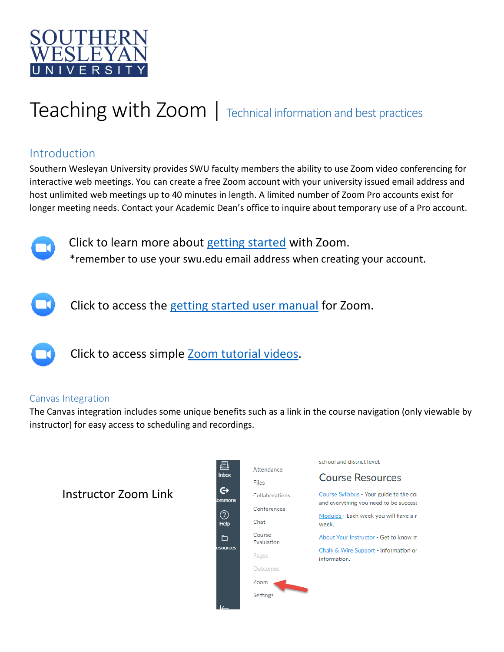

# Teaching with Zoom | Technical information and best practices

## Introduction

Southern Wesleyan University provides SWU faculty members the ability to use Zoom video conferencing for interactive web meetings. You can create a free Zoom account with your university issued email address and host unlimited web meetings up to 40 minutes in length. A limited number of Zoom Pro accounts exist for longer meeting needs. Contact your Academic Dean's office to inquire about temporary use of a Pro account.



Click to learn more about [getting started](https://support.zoom.us/hc/en-us/articles/201362033-Getting-Started-on-PC-and-Mac) with Zoom. \*remember to use your swu.edu email address when creating your account.



Click to access the [getting started user manual](file:///C:/Users/kellison/Downloads/Zoom_Getting%20Started%20with%20PC%20and%20MAC%20v6%20(1).pdf) for Zoom.



Click to access simple Zoom [tutorial videos.](https://support.zoom.us/hc/en-us/articles/206618765-Zoom-Video-Tutorials)

## Canvas Integration

The Canvas integration includes some unique benefits such as a link in the course navigation (only viewable by instructor) for easy access to scheduling and recordings.

# Instructor Zoom Link

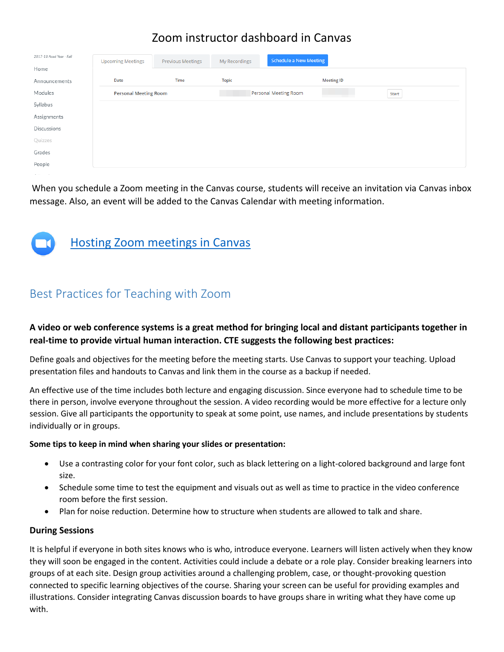# Zoom instructor dashboard in Canvas

| 2017-18 Acad Year - Fall | <b>Upcoming Meetings</b>     | Previous Meetings | My Recordings         | Schedule a New Meeting |                   |       |
|--------------------------|------------------------------|-------------------|-----------------------|------------------------|-------------------|-------|
| Home                     |                              |                   |                       |                        |                   |       |
| Announcements            | Date                         | Time              | <b>Topic</b>          |                        | <b>Meeting ID</b> |       |
| Modules                  | <b>Personal Meeting Room</b> |                   | Personal Meeting Room |                        |                   | Start |
| Syllabus                 |                              |                   |                       |                        |                   |       |
| Assignments              |                              |                   |                       |                        |                   |       |
| Discussions              |                              |                   |                       |                        |                   |       |
| Quizzes                  |                              |                   |                       |                        |                   |       |
| Grades                   |                              |                   |                       |                        |                   |       |
| People                   |                              |                   |                       |                        |                   |       |

When you schedule a Zoom meeting in the Canvas course, students will receive an invitation via Canvas inbox message. Also, an event will be added to the Canvas Calendar with meeting information.



## Best Practices for Teaching with Zoom

## **A video or web conference systems is a great method for bringing local and distant participants together in real-time to provide virtual human interaction. CTE suggests the following best practices:**

Define goals and objectives for the meeting before the meeting starts. Use Canvas to support your teaching. Upload presentation files and handouts to Canvas and link them in the course as a backup if needed.

An effective use of the time includes both lecture and engaging discussion. Since everyone had to schedule time to be there in person, involve everyone throughout the session. A video recording would be more effective for a lecture only session. Give all participants the opportunity to speak at some point, use names, and include presentations by students individually or in groups.

#### **Some tips to keep in mind when sharing your slides or presentation:**

- Use a contrasting color for your font color, such as black lettering on a light-colored background and large font size.
- Schedule some time to test the equipment and visuals out as well as time to practice in the video conference room before the first session.
- Plan for noise reduction. Determine how to structure when students are allowed to talk and share.

#### **During Sessions**

It is helpful if everyone in both sites knows who is who, introduce everyone. Learners will listen actively when they know they will soon be engaged in the content. Activities could include a debate or a role play. Consider breaking learners into groups of at each site. Design group activities around a challenging problem, case, or thought-provoking question connected to specific learning objectives of the course. Sharing your screen can be useful for providing examples and illustrations. Consider integrating Canvas discussion boards to have groups share in writing what they have come up with.